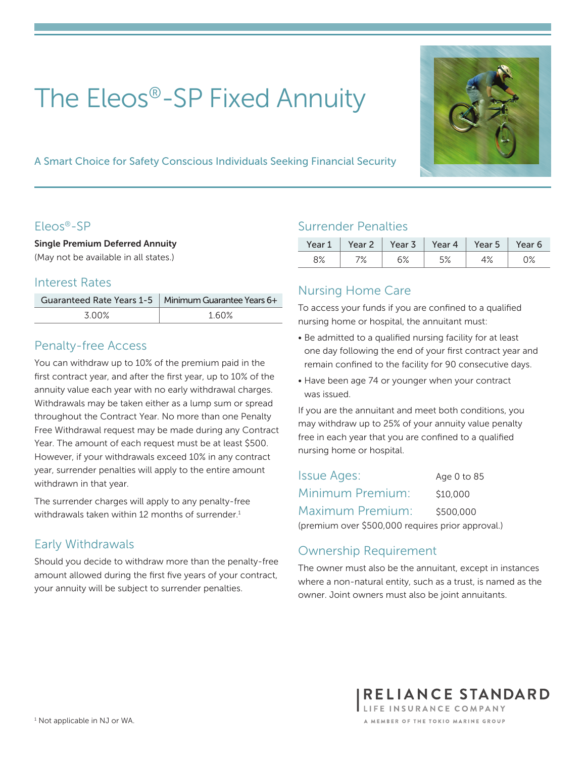# The Eleos®-SP Fixed Annuity



A Smart Choice for Safety Conscious Individuals Seeking Financial Security

#### Eleos®-SP

Single Premium Deferred Annuity (May not be available in all states.)

#### Interest Rates

|       | Guaranteed Rate Years 1-5   Minimum Guarantee Years 6+ |
|-------|--------------------------------------------------------|
| 3 00% | 160%                                                   |

## Penalty-free Access

You can withdraw up to 10% of the premium paid in the first contract year, and after the first year, up to 10% of the annuity value each year with no early withdrawal charges. Withdrawals may be taken either as a lump sum or spread throughout the Contract Year. No more than one Penalty Free Withdrawal request may be made during any Contract Year. The amount of each request must be at least \$500. However, if your withdrawals exceed 10% in any contract year, surrender penalties will apply to the entire amount withdrawn in that year.

The surrender charges will apply to any penalty-free withdrawals taken within 12 months of surrender.<sup>1</sup>

# Early Withdrawals

Should you decide to withdraw more than the penalty-free amount allowed during the first five years of your contract, your annuity will be subject to surrender penalties.

## Surrender Penalties

| Year 1 | Year 2 | Year 3 | Year 4 $\parallel$ | Year 5 $\parallel$ | Year 6 |
|--------|--------|--------|--------------------|--------------------|--------|
| 8%     | / /o   | 6%     | 5%<br>J/o          | 4%                 | 0%     |

# Nursing Home Care

To access your funds if you are confined to a qualified nursing home or hospital, the annuitant must:

- Be admitted to a qualified nursing facility for at least one day following the end of your first contract year and remain confined to the facility for 90 consecutive days.
- Have been age 74 or younger when your contract was issued.

If you are the annuitant and meet both conditions, you may withdraw up to 25% of your annuity value penalty free in each year that you are confined to a qualified nursing home or hospital.

Issue Ages: Age 0 to 85 Minimum Premium: \$10,000 Maximum Premium: \$500,000 (premium over \$500,000 requires prior approval.)

# Ownership Requirement

The owner must also be the annuitant, except in instances where a non-natural entity, such as a trust, is named as the owner. Joint owners must also be joint annuitants.

> RELIANCE STANDARD LIFE INSURANCE COMPANY A MEMBER OF THE TOKIO MARINE GROUP